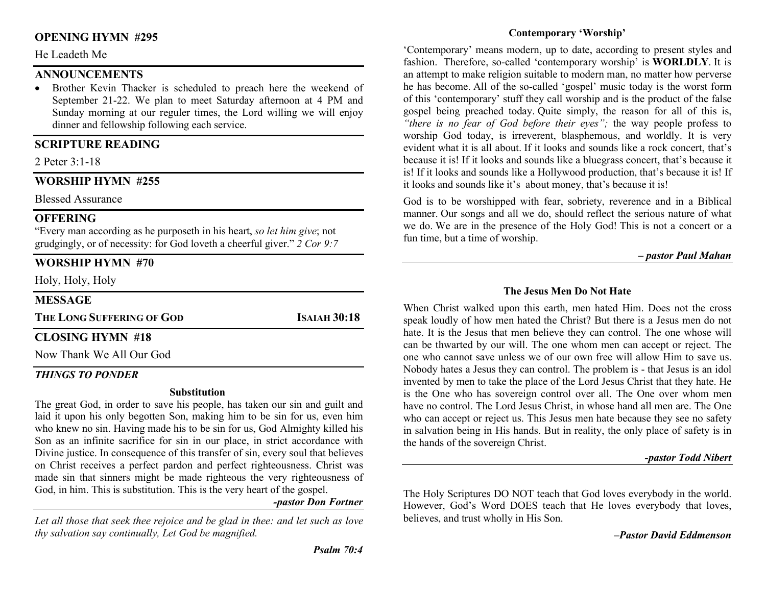# OPENING HYMN #295

#### He Leadeth Me

# **ANNOUNCEMENTS**

 Brother Kevin Thacker is scheduled to preach here the weekend of September 21-22. We plan to meet Saturday afternoon at 4 PM and Sunday morning at our reguler times, the Lord willing we will enjoy dinner and fellowship following each service.

# SCRIPTURE READING

2 Peter 3:1-18

# WORSHIP HYMN #255

Blessed Assurance

# **OFFERING**

"Every man according as he purposeth in his heart, so let him give; not grudgingly, or of necessity: for God loveth a cheerful giver." 2 Cor 9:7

# WORSHIP HYMN #70

Holy, Holy, Holy

## MESSAGE

THE LONG SUFFERING OF GOD
ISAIAH 30:18

# CLOSING HYMN #18

Now Thank We All Our God

# THINGS TO PONDER

#### **Substitution**

The great God, in order to save his people, has taken our sin and guilt and laid it upon his only begotten Son, making him to be sin for us, even him who knew no sin. Having made his to be sin for us, God Almighty killed his Son as an infinite sacrifice for sin in our place, in strict accordance with Divine justice. In consequence of this transfer of sin, every soul that believes on Christ receives a perfect pardon and perfect righteousness. Christ was made sin that sinners might be made righteous the very righteousness of God, in him. This is substitution. This is the very heart of the gospel.

-pastor Don Fortner

Let all those that seek thee rejoice and be glad in thee: and let such as love thy salvation say continually, Let God be magnified.

# Contemporary 'Worship'

'Contemporary' means modern, up to date, according to present styles and fashion. Therefore, so-called 'contemporary worship' is WORLDLY. It is an attempt to make religion suitable to modern man, no matter how perverse he has become. All of the so-called 'gospel' music today is the worst form of this 'contemporary' stuff they call worship and is the product of the false gospel being preached today. Quite simply, the reason for all of this is, "there is no fear of God before their eyes"; the way people profess to worship God today, is irreverent, blasphemous, and worldly. It is very evident what it is all about. If it looks and sounds like a rock concert, that's because it is! If it looks and sounds like a bluegrass concert, that's because it is! If it looks and sounds like a Hollywood production, that's because it is! If it looks and sounds like it's about money, that's because it is!

God is to be worshipped with fear, sobriety, reverence and in a Biblical manner. Our songs and all we do, should reflect the serious nature of what we do. We are in the presence of the Holy God! This is not a concert or a fun time, but a time of worship.

#### – pastor Paul Mahan

#### The Jesus Men Do Not Hate

When Christ walked upon this earth, men hated Him. Does not the cross speak loudly of how men hated the Christ? But there is a Jesus men do not hate. It is the Jesus that men believe they can control. The one whose will can be thwarted by our will. The one whom men can accept or reject. The one who cannot save unless we of our own free will allow Him to save us. Nobody hates a Jesus they can control. The problem is - that Jesus is an idol invented by men to take the place of the Lord Jesus Christ that they hate. He is the One who has sovereign control over all. The One over whom men have no control. The Lord Jesus Christ, in whose hand all men are. The One who can accept or reject us. This Jesus men hate because they see no safety in salvation being in His hands. But in reality, the only place of safety is in the hands of the sovereign Christ.

# -pastor Todd Nibert

The Holy Scriptures DO NOT teach that God loves everybody in the world. However, God's Word DOES teach that He loves everybody that loves, believes, and trust wholly in His Son.

–Pastor David Eddmenson